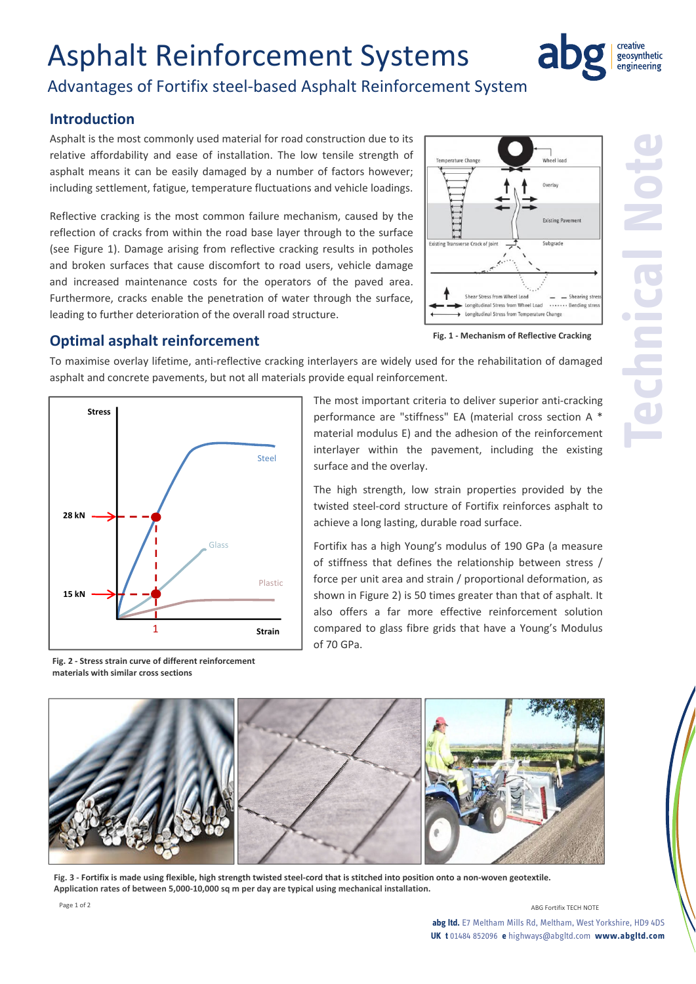# Asphalt Reinforcement Systems



**Technical Note**

## Advantages of Fortifix steel‐based Asphalt Reinforcement System

### **Introduction**

Asphalt is the most commonly used material for road construction due to its relative affordability and ease of installation. The low tensile strength of asphalt means it can be easily damaged by a number of factors however; including settlement, fatigue, temperature fluctuations and vehicle loadings.

Reflective cracking is the most common failure mechanism, caused by the reflection of cracks from within the road base layer through to the surface (see Figure 1). Damage arising from reflective cracking results in potholes and broken surfaces that cause discomfort to road users, vehicle damage and increased maintenance costs for the operators of the paved area. Furthermore, cracks enable the penetration of water through the surface, leading to further deterioration of the overall road structure.



**Fig. 1 ‐ Mechanism of Reflective Cracking** 

#### **Optimal asphalt reinforcement**

To maximise overlay lifetime, anti-reflective cracking interlayers are widely used for the rehabilitation of damaged asphalt and concrete pavements, but not all materials provide equal reinforcement.



**materials with similar cross sections**

The most important criteria to deliver superior anti‐cracking performance are "stiffness" EA (material cross section A \* material modulus E) and the adhesion of the reinforcement interlayer within the pavement, including the existing surface and the overlay.

The high strength, low strain properties provided by the twisted steel‐cord structure of Fortifix reinforces asphalt to achieve a long lasting, durable road surface.

Fortifix has a high Young's modulus of 190 GPa (a measure of stiffness that defines the relationship between stress / force per unit area and strain / proportional deformation, as shown in Figure 2) is 50 times greater than that of asphalt. It also offers a far more effective reinforcement solution compared to glass fibre grids that have a Young's Modulus of 70 GPa.



Fig. 3 - Fortifix is made using flexible, high strength twisted steel-cord that is stitched into position onto a non-woven geotextile. Application rates of between 5,000-10,000 sq m per day are typical using mechanical installation.

**UK t** 01484 852096 **e** highways@abgltd.com **www.abgltd.com**